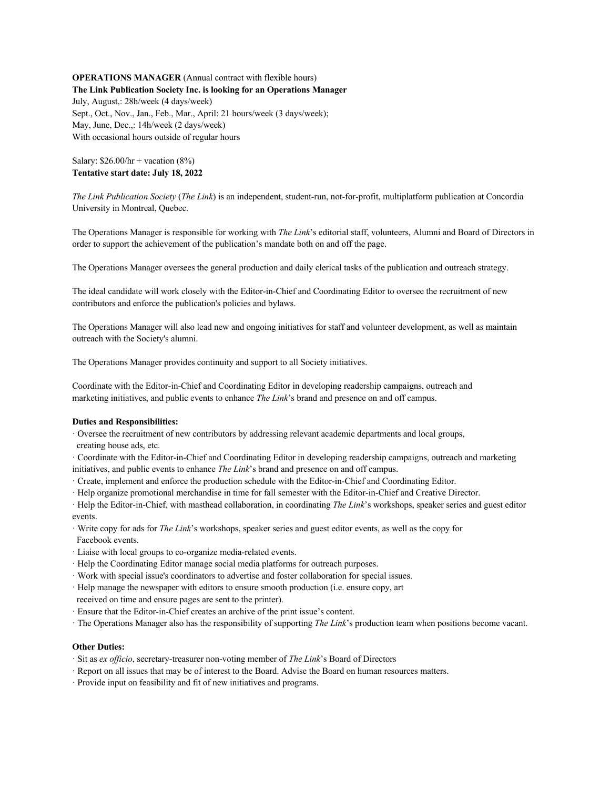### **OPERATIONS MANAGER** (Annual contract with flexible hours) **The Link Publication Society Inc. is looking for an Operations Manager**

July, August,: 28h/week (4 days/week) Sept., Oct., Nov., Jan., Feb., Mar., April: 21 hours/week (3 days/week); May, June, Dec.,: 14h/week (2 days/week) With occasional hours outside of regular hours

# Salary:  $$26.00/hr + vacation (8%)$ **Tentative start date: July 18, 2022**

*The Link Publication Society* (*The Link*) is an independent, student-run, not-for-profit, multiplatform publication at Concordia University in Montreal, Quebec.

The Operations Manager is responsible for working with *The Link*'s editorial staff, volunteers, Alumni and Board of Directors in order to support the achievement of the publication's mandate both on and off the page.

The Operations Manager oversees the general production and daily clerical tasks of the publication and outreach strategy.

The ideal candidate will work closely with the Editor-in-Chief and Coordinating Editor to oversee the recruitment of new contributors and enforce the publication's policies and bylaws.

The Operations Manager will also lead new and ongoing initiatives for staff and volunteer development, as well as maintain outreach with the Society's alumni.

The Operations Manager provides continuity and support to all Society initiatives.

Coordinate with the Editor-in-Chief and Coordinating Editor in developing readership campaigns, outreach and marketing initiatives, and public events to enhance *The Link*'s brand and presence on and off campus.

# **Duties and Responsibilities:**

- · Oversee the recruitment of new contributors by addressing relevant academic departments and local groups,
- creating house ads, etc.
- · Coordinate with the Editor-in-Chief and Coordinating Editor in developing readership campaigns, outreach and marketing initiatives, and public events to enhance *The Link*'s brand and presence on and off campus.
- · Create, implement and enforce the production schedule with the Editor-in-Chief and Coordinating Editor.
- · Help organize promotional merchandise in time for fall semester with the Editor-in-Chief and Creative Director.
- · Help the Editor-in-Chief, with masthead collaboration, in coordinating *The Link*'s workshops, speaker series and guest editor events.
- · Write copy for ads for *The Link*'s workshops, speaker series and guest editor events, as well as the copy for Facebook events.
- · Liaise with local groups to co-organize media-related events.
- · Help the Coordinating Editor manage social media platforms for outreach purposes.
- · Work with special issue's coordinators to advertise and foster collaboration for special issues.
- · Help manage the newspaper with editors to ensure smooth production (i.e. ensure copy, art
- received on time and ensure pages are sent to the printer).
- · Ensure that the Editor-in-Chief creates an archive of the print issue's content.
- · The Operations Manager also has the responsibility of supporting *The Link*'s production team when positions become vacant.

# **Other Duties:**

- · Sit as *ex officio*, secretary-treasurer non-voting member of *The Link*'s Board of Directors
- · Report on all issues that may be of interest to the Board. Advise the Board on human resources matters.
- · Provide input on feasibility and fit of new initiatives and programs.